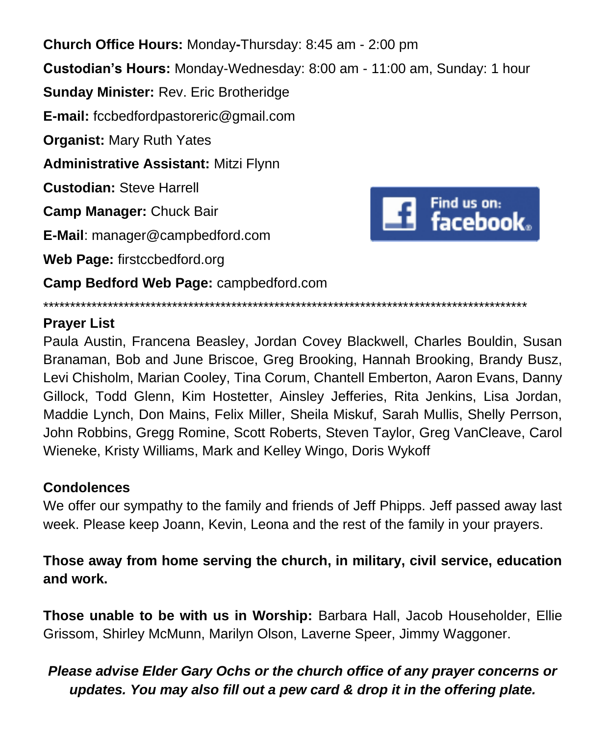**Church Office Hours:** Monday**-**Thursday: 8:45 am - 2:00 pm **Custodian's Hours:** Monday-Wednesday: 8:00 am - 11:00 am, Sunday: 1 hour **Sunday Minister:** Rev. Eric Brotheridge **E-mail:** fccbedfordpastoreric@gmail.com **Organist:** Mary Ruth Yates **Administrative Assistant:** Mitzi Flynn **Custodian:** Steve Harrell Find us on:<br>
facebook. **Camp Manager:** Chuck Bair **E-Mail**: manager@campbedford.com **Web Page:** firstccbedford.org **Camp Bedford Web Page:** campbedford.com

**Prayer List**

Paula Austin, Francena Beasley, Jordan Covey Blackwell, Charles Bouldin, Susan Branaman, Bob and June Briscoe, Greg Brooking, Hannah Brooking, Brandy Busz, Levi Chisholm, Marian Cooley, Tina Corum, Chantell Emberton, Aaron Evans, Danny Gillock, Todd Glenn, Kim Hostetter, Ainsley Jefferies, Rita Jenkins, Lisa Jordan, Maddie Lynch, Don Mains, Felix Miller, Sheila Miskuf, Sarah Mullis, Shelly Perrson, John Robbins, Gregg Romine, Scott Roberts, Steven Taylor, Greg VanCleave, Carol Wieneke, Kristy Williams, Mark and Kelley Wingo, Doris Wykoff

\*\*\*\*\*\*\*\*\*\*\*\*\*\*\*\*\*\*\*\*\*\*\*\*\*\*\*\*\*\*\*\*\*\*\*\*\*\*\*\*\*\*\*\*\*\*\*\*\*\*\*\*\*\*\*\*\*\*\*\*\*\*\*\*\*\*\*\*\*\*\*\*\*\*\*\*\*\*\*\*\*\*\*\*\*\*\*\*\*\*

### **Condolences**

We offer our sympathy to the family and friends of Jeff Phipps. Jeff passed away last week. Please keep Joann, Kevin, Leona and the rest of the family in your prayers.

**Those away from home serving the church, in military, civil service, education and work.**

**Those unable to be with us in Worship:** Barbara Hall, Jacob Householder, Ellie Grissom, Shirley McMunn, Marilyn Olson, Laverne Speer, Jimmy Waggoner.

### *Please advise Elder Gary Ochs or the church office of any prayer concerns or updates. You may also fill out a pew card & drop it in the offering plate.*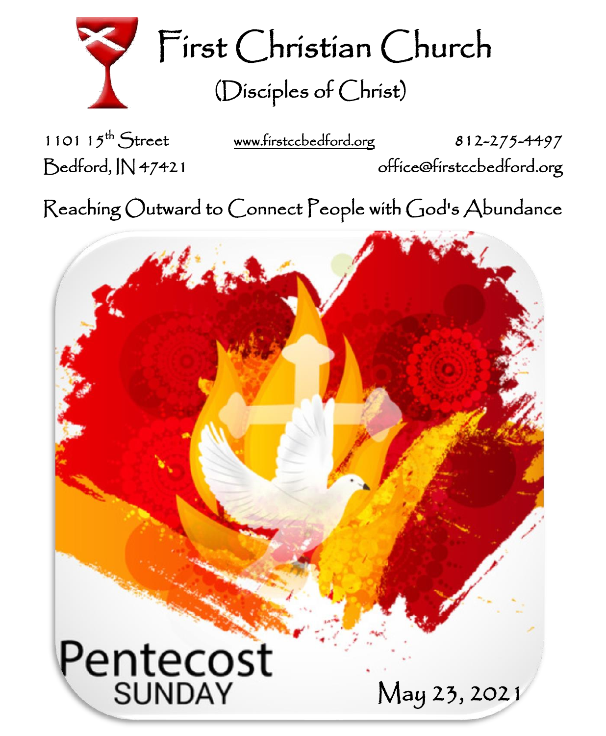

First Christian Church (Disciples of Christ)

1101  $15^{th}$  Street

[www.firstccbedford.org](http://www.firstccbedford.org/) 812-275-4497 Bedford, IN 47421 office@firstccbedford.org

 $\sf Reaching~Outward$  to  $\sf C$ onnect  $\sf P$ eople with  $\sf C$ od's  $\sf Abundance$ 

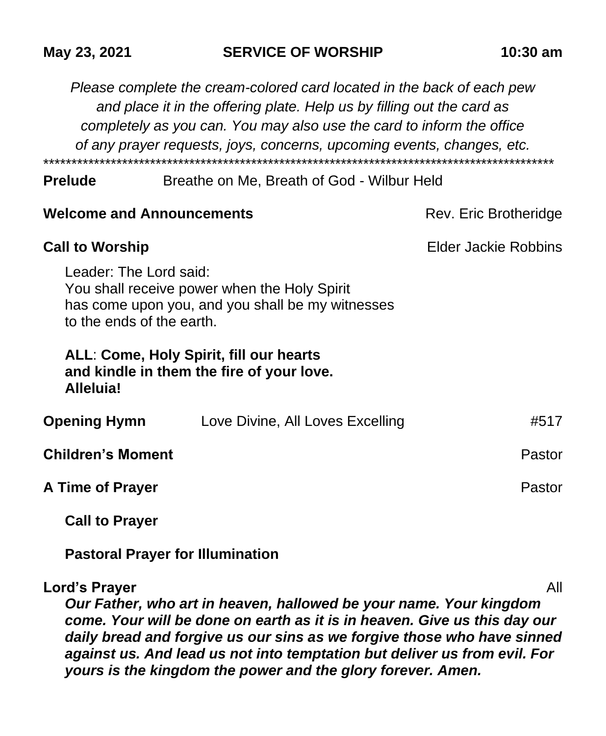|                                                     | Please complete the cream-colored card located in the back of each pew<br>and place it in the offering plate. Help us by filling out the card as<br>completely as you can. You may also use the card to inform the office<br>of any prayer requests, joys, concerns, upcoming events, changes, etc. |                             |
|-----------------------------------------------------|-----------------------------------------------------------------------------------------------------------------------------------------------------------------------------------------------------------------------------------------------------------------------------------------------------|-----------------------------|
| Prelude                                             | Breathe on Me, Breath of God - Wilbur Held                                                                                                                                                                                                                                                          |                             |
| <b>Welcome and Announcements</b>                    |                                                                                                                                                                                                                                                                                                     | Rev. Eric Brotheridge       |
| Call to Worship                                     |                                                                                                                                                                                                                                                                                                     | <b>Elder Jackie Robbins</b> |
| Leader: The Lord said:<br>to the ends of the earth. | You shall receive power when the Holy Spirit<br>has come upon you, and you shall be my witnesses                                                                                                                                                                                                    |                             |
| Alleluia!                                           | ALL: Come, Holy Spirit, fill our hearts<br>and kindle in them the fire of your love.                                                                                                                                                                                                                |                             |
| <b>Opening Hymn</b>                                 | Love Divine, All Loves Excelling                                                                                                                                                                                                                                                                    | #517                        |
| <b>Children's Moment</b>                            |                                                                                                                                                                                                                                                                                                     | Pastor                      |
| <b>A Time of Prayer</b>                             |                                                                                                                                                                                                                                                                                                     | Pastor                      |

**May 23, 2021 SERVICE OF WORSHIP 10:30 am**

**Call to Prayer**

**Pastoral Prayer for Illumination**

## **Lord's Prayer** All

*Our Father, who art in heaven, hallowed be your name. Your kingdom come. Your will be done on earth as it is in heaven. Give us this day our daily bread and forgive us our sins as we forgive those who have sinned against us. And lead us not into temptation but deliver us from evil. For yours is the kingdom the power and the glory forever. Amen.*